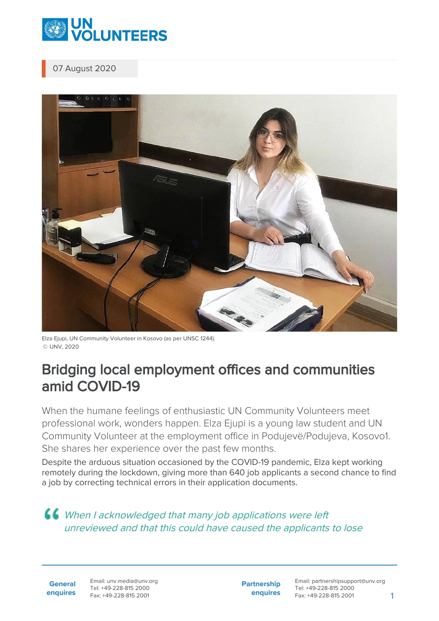

07 August 2020



Elza Ejupi, UN Community Volunteer in Kosovo (as per UNSC 1244). © UNV, 2020

## Bridging local employment offices and communities amid COVID-19

When the humane feelings of enthusiastic UN Community Volunteers meet professional work, wonders happen. Elza Ejupi is a young law student and UN Community Volunteer at the employment office in Podujevë/Podujeva, Kosovo1. She shares her experience over the past few months.

Despite the arduous situation occasioned by the COVID-19 pandemic, Elza kept working remotely during the lockdown, giving more than 640 job applicants a second chance to find a job by correcting technical errors in their application documents.

## **66** When I acknowledged that many job applications were left unreviewed and that this could have caused the applicants to lose

**General enquires** Email: unv.media@unv.org Tel: +49-228-815 2000 Fax: +49-228-815 2001

**Partnership enquires** Email: partnershipsupport@unv.org Tel: +49-228-815 2000 Fax: +49-228-815 2001 1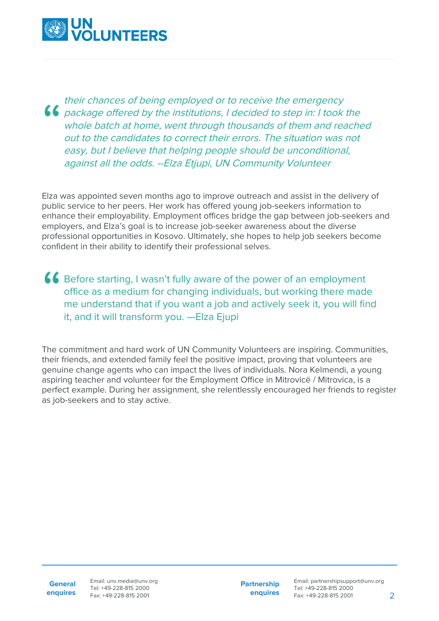

their chances of being employed or to receive the emergency package offered by the institutions, I decided to step in: I took the whole batch at home, went through thousands of them and reached out to the candidates to correct their errors. The situation was not easy, but I believe that helping people should be unconditional, against all the odds. --Elza Etjupi, UN Community Volunteer

Elza was appointed seven months ago to improve outreach and assist in the delivery of public service to her peers. Her work has offered young job-seekers information to enhance their employability. Employment offices bridge the gap between job-seekers and employers, and Elza's goal is to increase job-seeker awareness about the diverse professional opportunities in Kosovo. Ultimately, she hopes to help job seekers become confident in their ability to identify their professional selves.

**66** Before starting, I wasn't fully aware of the power of an employment office as a medium for changing individuals, but working there made me understand that if you want a job and actively seek it, you will find it, and it will transform you. —Elza Ejupi

The commitment and hard work of UN Community Volunteers are inspiring. Communities, their friends, and extended family feel the positive impact, proving that volunteers are genuine change agents who can impact the lives of individuals. Nora Kelmendi, a young aspiring teacher and volunteer for the Employment Office in Mitrovicë / Mitrovica, is a perfect example. During her assignment, she relentlessly encouraged her friends to register as job-seekers and to stay active.

**General enquires** Email: unv.media@unv.org Tel: +49-228-815 2000 Fax: +49-228-815 2001

**Partnership enquires**

Email: partnershipsupport@unv.org Tel: +49-228-815 2000 Fax: +49-228-815 2001 2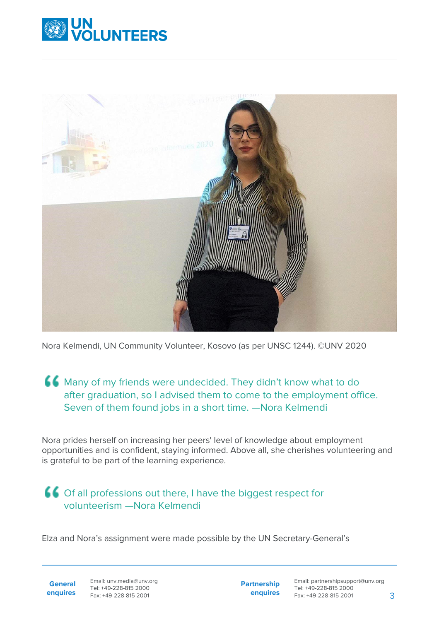



Nora Kelmendi, UN Community Volunteer, Kosovo (as per UNSC 1244). ©UNV 2020

## Many of my friends were undecided. They didn't know what to do after graduation, so I advised them to come to the employment office. Seven of them found jobs in a short time. —Nora Kelmendi

Nora prides herself on increasing her peers' level of knowledge about employment opportunities and is confident, staying informed. Above all, she cherishes volunteering and is grateful to be part of the learning experience.

## Of all professions out there, I have the biggest respect for volunteerism —Nora Kelmendi

Elza and Nora's assignment were made possible by the UN Secretary-General's

**General enquires** Email: unv.media@unv.org Tel: +49-228-815 2000 Fax: +49-228-815 2001

**Partnership enquires** Email: partnershipsupport@unv.org Tel: +49-228-815 2000 Fax: +49-228-815 2001 3